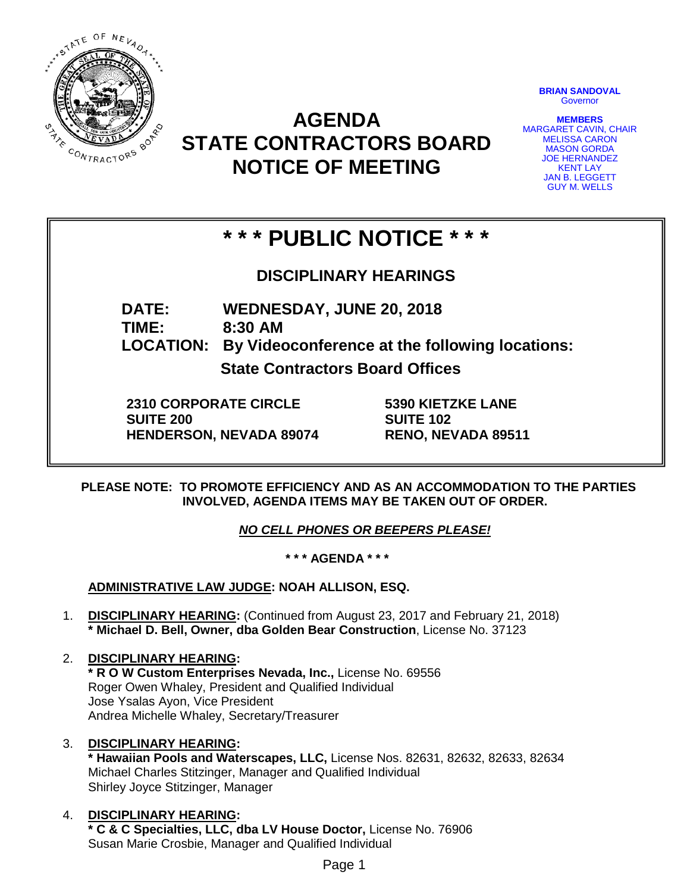

# **AGENDA STATE CONTRACTORS BOARD NOTICE OF MEETING**

**BRIAN SANDOVAL Governor** 

**MEMBERS** MARGARET CAVIN, CHAIR MELISSA CARON MASON GORDA JOE HERNANDEZ **KENT LAY** JAN B. LEGGETT GUY M. WELLS

# **\* \* \* PUBLIC NOTICE \* \* \***

**DISCIPLINARY HEARINGS**

**DATE: WEDNESDAY, JUNE 20, 2018**

**TIME: 8:30 AM**

**LOCATION: By Videoconference at the following locations:**

**State Contractors Board Offices**

**2310 CORPORATE CIRCLE SUITE 200 HENDERSON, NEVADA 89074** **5390 KIETZKE LANE SUITE 102 RENO, NEVADA 89511**

**PLEASE NOTE: TO PROMOTE EFFICIENCY AND AS AN ACCOMMODATION TO THE PARTIES INVOLVED, AGENDA ITEMS MAY BE TAKEN OUT OF ORDER.**

*NO CELL PHONES OR BEEPERS PLEASE!* 

**\* \* \* AGENDA \* \* \***

**ADMINISTRATIVE LAW JUDGE: NOAH ALLISON, ESQ.** 

- 1. **DISCIPLINARY HEARING:** (Continued from August 23, 2017 and February 21, 2018) **\* Michael D. Bell, Owner, dba Golden Bear Construction**, License No. 37123
- 2. **DISCIPLINARY HEARING: \* R O W Custom Enterprises Nevada, Inc.,** License No. 69556 Roger Owen Whaley, President and Qualified Individual Jose Ysalas Ayon, Vice President Andrea Michelle Whaley, Secretary/Treasurer
- 3. **DISCIPLINARY HEARING: \* Hawaiian Pools and Waterscapes, LLC,** License Nos. 82631, 82632, 82633, 82634 Michael Charles Stitzinger, Manager and Qualified Individual Shirley Joyce Stitzinger, Manager
- 4. **DISCIPLINARY HEARING: \* C & C Specialties, LLC, dba LV House Doctor,** License No. 76906 Susan Marie Crosbie, Manager and Qualified Individual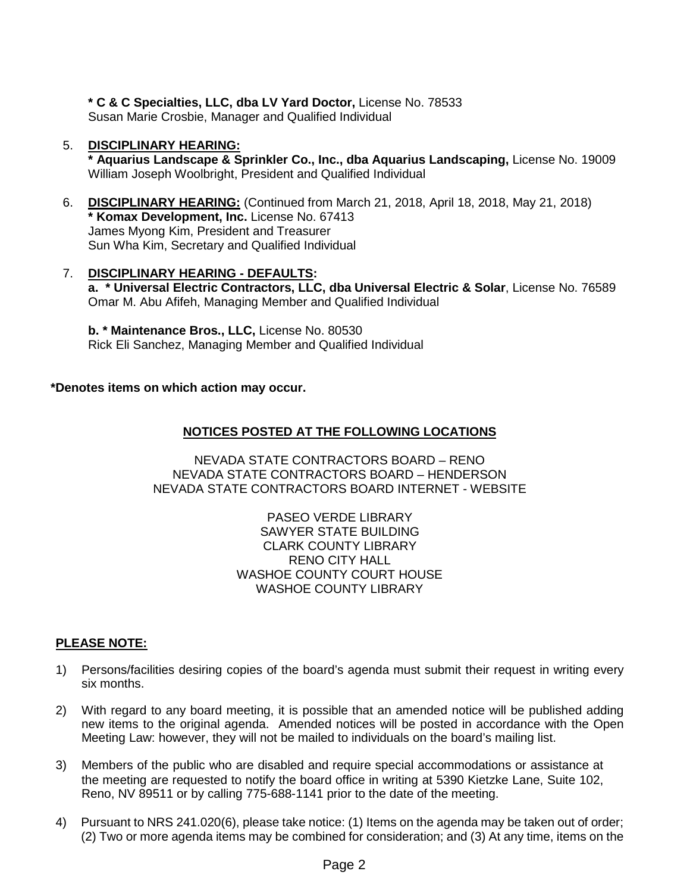**\* C & C Specialties, LLC, dba LV Yard Doctor,** License No. 78533

Susan Marie Crosbie, Manager and Qualified Individual

#### 5. **DISCIPLINARY HEARING:**

**\* Aquarius Landscape & Sprinkler Co., Inc., dba Aquarius Landscaping,** License No. 19009 William Joseph Woolbright, President and Qualified Individual

- 6. **DISCIPLINARY HEARING:** (Continued from March 21, 2018, April 18, 2018, May 21, 2018) **\* Komax Development, Inc.** License No. 67413 James Myong Kim, President and Treasurer Sun Wha Kim, Secretary and Qualified Individual
- 7. **DISCIPLINARY HEARING - DEFAULTS: a. \* Universal Electric Contractors, LLC, dba Universal Electric & Solar**, License No. 76589 Omar M. Abu Afifeh, Managing Member and Qualified Individual

**b. \* Maintenance Bros., LLC,** License No. 80530 Rick Eli Sanchez, Managing Member and Qualified Individual

#### **\*Denotes items on which action may occur.**

## **NOTICES POSTED AT THE FOLLOWING LOCATIONS**

NEVADA STATE CONTRACTORS BOARD – RENO NEVADA STATE CONTRACTORS BOARD – HENDERSON NEVADA STATE CONTRACTORS BOARD INTERNET - WEBSITE

> PASEO VERDE LIBRARY SAWYER STATE BUILDING CLARK COUNTY LIBRARY RENO CITY HALL WASHOE COUNTY COURT HOUSE WASHOE COUNTY LIBRARY

## **PLEASE NOTE:**

- 1) Persons/facilities desiring copies of the board's agenda must submit their request in writing every six months.
- 2) With regard to any board meeting, it is possible that an amended notice will be published adding new items to the original agenda. Amended notices will be posted in accordance with the Open Meeting Law: however, they will not be mailed to individuals on the board's mailing list.
- 3) Members of the public who are disabled and require special accommodations or assistance at the meeting are requested to notify the board office in writing at 5390 Kietzke Lane, Suite 102, Reno, NV 89511 or by calling 775-688-1141 prior to the date of the meeting.
- 4) Pursuant to NRS 241.020(6), please take notice: (1) Items on the agenda may be taken out of order; (2) Two or more agenda items may be combined for consideration; and (3) At any time, items on the